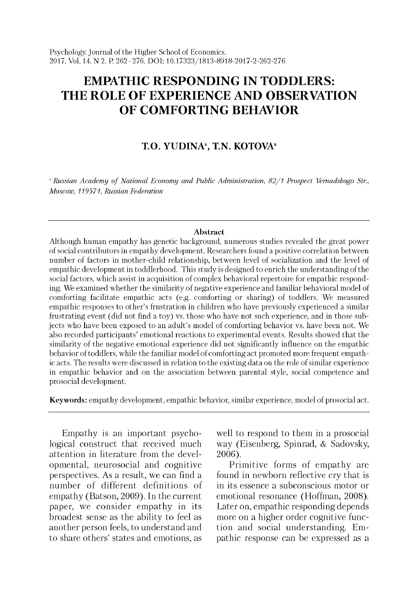# **EMPATHIC RESPONDING IN TODDLERS: THE ROLE OF EXPERIENCE AND OBSERVATION OF COMFORTING BEHAVIOR**

# **T.O. YUDINA<sup>a</sup>, T.N. KOTOVA<sup>a</sup>**

<sup>a</sup> Russian Academy of National Economy and Public Administration, 82/1 Prospect Vernadskogo Str., *Moscow, 119571, Russian Federation*

#### **Abstract**

Although human empathy has genetic background, numerous studies revealed the great power of social contributors in empathy development. Researchers found a positive correlation between number of factors in mother-child relationship, between level of socialization and the level of empathic development in toddlerhood. This study is designed to enrich the understanding of the social factors, which assist in acquisition of complex behavioral repertoire for empathic responding. We examined w hether the similarity of negative experience and familiar behavioral model of comforting facilitate empathic acts (e.g. comforting or sharing) of toddlers. We measured empathic responses to other's frustration in children who have previously experienced a similar frustrating event (did not find a toy) vs. those who have not such experience, and in those subjects who have been exposed to an adult's model of comforting behavior vs. have been not. We also recorded participants' emotional reactions to experimental events. Results showed that the similarity of the negative emotional experience did not significantly influence on the empathic behavior of toddlers, while the familiar model of comforting act promoted more frequent empathic acts. The results were discussed in relation to the existing data on the role of similar experience in empathic behavior and on the association between parental style, social competence and prosocial development.

Keywords: empathy development, empathic behavior, similar experience, model of prosocial act.

Empathy is an important psychological construct that received much attention in literature from the developmental, neurosocial and cognitive perspectives. As a result, we can find a number of different definitions of empathy (Batson, 2009). In the current paper, we consider empathy in its broadest sense as the ability to feel as another person feels, to understand and to share others' states and emotions, as well to respond to them in a prosocial way (Eisenberg, Spinrad, & Sadovsky, 2006).

Primitive forms of empathy are found in newborn reflective cry that is in its essence a subconscious motor or emotional resonance (Hoffman, 2008). Later on, empathic responding depends more on a higher order cognitive function and social understanding. Empathic response can be expressed as a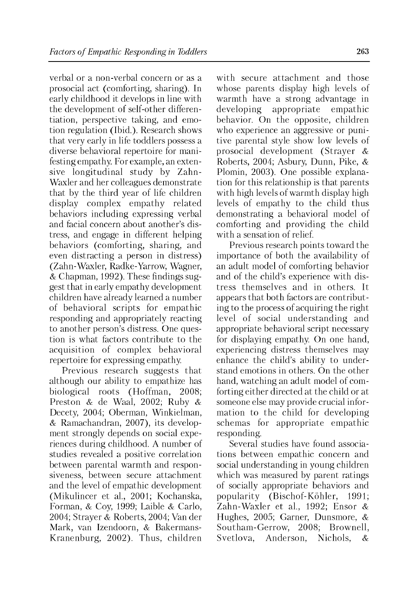verbal or a non-verbal concern or as a prosocial act (comforting, sharing). In early childhood it develops in line with the development of self-other differentiation, perspective taking, and emotion regulation (Ibid.). Research shows that very early in life toddlers possess a diverse behavioral repertoire for manifesting empathy. For example, an extensive longitudinal study by Zahn-Waxler and her colleagues demonstrate that by the third year of life children display complex empathy related behaviors including expressing verbal and facial concern about another's distress, and engage in different helping behaviors (comforting, sharing, and even distracting a person in distress) (Zahn-Waxler, Radke-Yarrow, Wagner, & Chapman, 1992). These findings suggest that in early empathy development children have already learned a number of behavioral scripts for empathic responding and appropriately reacting to another person's distress. One question is what factors contribute to the acquisition of complex behavioral repertoire for expressing empathy.

Previous research suggests that although our ability to empathize has biological roots (Hoffman, 2008; Preston & de Waal, 2002; Ruby & Decety, 2004; Oberman, Winkielman, & Ramachandran, 2007), its development strongly depends on social experiences during childhood. A number of studies revealed a positive correlation between parental warmth and responsiveness, between secure attachment and the level of empathic development (Mikulincer et al., 2001; Kochanska, Forman, & Coy, 1999; Laible & Carlo, 2004; Strayer & Roberts, 2004; Van der Mark, van Izendoorn, & Bakermans-Kranenburg, 2002). Thus, children

with secure attachment and those whose parents display high levels of warmth have a strong advantage in developing appropriate empathic behavior. On the opposite, children who experience an aggressive or punitive parental style show low levels of prosocial development (Strayer & Roberts, 2004; Asbury, Dunn, Pike, & Plomin, 2003). One possible explanation for this relationship is that parents with high levels of warmth display high levels of empathy to the child thus demonstrating a behavioral model of comforting and providing the child with a sensation of relief.

Previous research points toward the importance of both the availability of an adult model of comforting behavior and of the child's experience with distress themselves and in others. It appears that both factors are contributing to the process of acquiring the right level of social understanding and appropriate behavioral script necessary for displaying empathy. On one hand, experiencing distress themselves may enhance the child's ability to understand emotions in others. On the other hand, watching an adult model of comforting either directed at the child or at someone else may provide crucial information to the child for developing schemas for appropriate empathic responding.

Several studies have found associations between empathic concern and social understanding in young children which was measured by parent ratings of socially appropriate behaviors and popularity (Bischof-Kohler, 1991; Zahn-Waxler et al., 1992; Ensor & Hughes, 2005; Garner, Dunsmore, & Southam-Gerrow, 2008; Brownell, Svetlova, Anderson, Nichols, &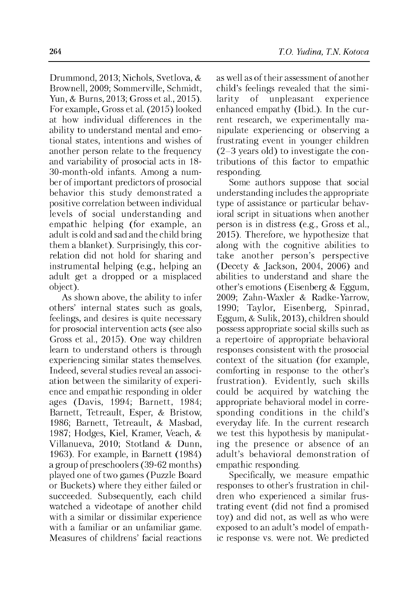Drummond, 2013; Nichols, Svetlova, & Brownell, 2009; Sommerville, Schmidt, Yun, & Burns, 2013; Gross et al., 2015). For example, Gross et al. (2015) looked at how individual differences in the ability to understand mental and emotional states, intentions and wishes of another person relate to the frequency and variability of prosocial acts in 18 30-month-old infants. Among a number of important predictors of prosocial behavior this study demonstrated a positive correlation between individual levels of social understanding and empathic helping (for example, an adult is cold and sad and the child bring them a blanket). Surprisingly, this correlation did not hold for sharing and instrumental helping (e.g., helping an adult get a dropped or a misplaced object).

As shown above, the ability to infer others' internal states such as goals, feelings, and desires is quite necessary for prosocial intervention acts (see also Gross et al., 2015). One way children learn to understand others is through experiencing similar states themselves. Indeed, several studies reveal an association between the similarity of experience and empathic responding in older ages (Davis, 1994; Barnett, 1984; Barnett, Tetreault, Esper, & Bristow, 1986; Barnett, Tetreault, & Masbad, 1987; Hodges, Kiel, Kramer, Veach, & Villanueva, 2010; Stotland & Dunn, 1963). For example, in Barnett (1984) a group of preschoolers (39-62 months) played one of two games (Puzzle Board or Buckets) where they either failed or succeeded. Subsequently, each child watched a videotape of another child with a similar or dissimilar experience with a familiar or an unfamiliar game. Measures of childrens' facial reactions as well as of their assessment of another child's feelings revealed that the simi-<br>larity of unpleasant experience of unpleasant enhanced empathy (Ibid.). In the current research, we experimentally manipulate experiencing or observing a frustrating event in younger children (2-3 years old) to investigate the contributions of this factor to empathic responding.

Some authors suppose that social understanding includes the appropriate type of assistance or particular behavioral script in situations when another person is in distress (e.g., Gross et al., 2015). Therefore, we hypothesize that along with the cognitive abilities to take another person's perspective (Decety & Jackson, 2004, 2006) and abilities to understand and share the other's emotions (Eisenberg & Eggum, 2009; Zahn-Waxler & Radke-Yarrow, 1990; Taylor, Eisenberg, Spinrad, Eggum, & Sulik, 2013), children should possess appropriate social skills such as a repertoire of appropriate behavioral responses consistent with the prosocial context of the situation (for example, comforting in response to the other's frustration). Evidently, such skills could be acquired by watching the appropriate behavioral model in corresponding conditions in the child's everyday life. In the current research we test this hypothesis by manipulating the presence or absence of an adult's behavioral demonstration of empathic responding.

Specifically, we measure empathic responses to other's frustration in children who experienced a similar frustrating event (did not find a promised toy) and did not, as well as who were exposed to an adult's model of empathic response vs. were not. We predicted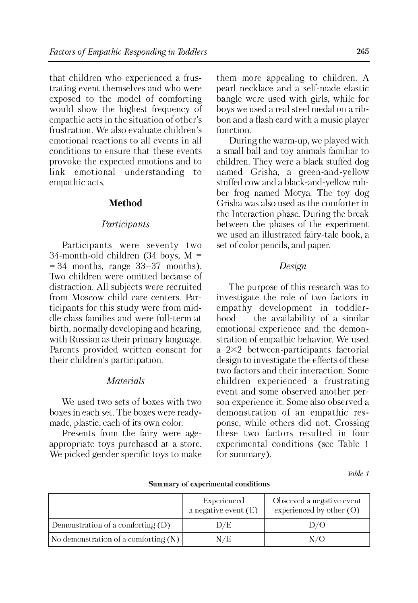that children who experienced a frustrating event themselves and who were exposed to the model of comforting would show the highest frequency of empathic acts in the situation of other's frustration. We also evaluate children's emotional reactions to all events in all conditions to ensure that these events provoke the expected emotions and to link emotional understanding to empathic acts.

# **Method**

### *Participants*

Participants were seventy two 34-month-old children  $(34$  boys, M =  $= 34$  months, range  $33-37$  months). Two children were omitted because of distraction. All subjects were recruited from Moscow child care centers. Participants for this study were from middle class families and were full-term at birth, normally developing and hearing, with Russian as their primary language. Parents provided written consent for their children's participation.

## *Materials*

We used two sets of boxes with two boxes in each set. The boxes were readymade, plastic, each of its own color.

Presents from the fairy were ageappropriate toys purchased at a store. We picked gender specific toys to make them more appealing to children. A pearl necklace and a self-made elastic bangle were used with girls, while for boys we used a real steel medal on a ribbon and a flash card with a music player function.

During the warm-up, we played with a small ball and toy animals familiar to children. They were a black stuffed dog named Grisha, a green-and-yellow stuffed cow and a black-and-yellow rubber frog named Motya. The toy dog Grisha was also used as the comforter in the Interaction phase. During the break between the phases of the experiment we used an illustrated fairy-tale book, a set of color pencils, and paper.

## *Design*

The purpose of this research was to investigate the role of two factors in empathy development in toddlerhood — the availability of a similar emotional experience and the demonstration of empathic behavior. We used a 2X2 between-participants factorial design to investigate the effects of these two factors and their interaction. Some children experienced a frustrating event and some observed another person experience it. Some also observed a demonstration of an empathic response, while others did not. Crossing these two factors resulted in four experimental conditions (see Table 1 for summary).

*Table 1*

|                                        | Experienced<br>a negative event $(E)$ | Observed a negative event<br>experienced by other $(O)$ |
|----------------------------------------|---------------------------------------|---------------------------------------------------------|
| Demonstration of a comforting $(D)$    | D/E                                   | D/O                                                     |
| No demonstration of a comforting $(N)$ | N/E                                   | N/O                                                     |

Summary of experimental conditions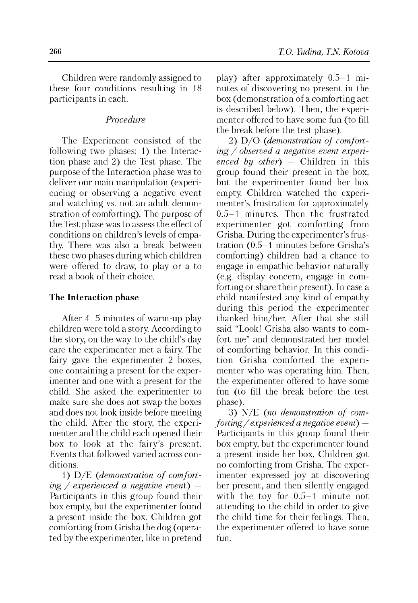Children were randomly assigned to these four conditions resulting in 18 participants in each.

# *Procedure*

The Experiment consisted of the following two phases: 1) the Interaction phase and 2) the Test phase. The purpose of the Interaction phase was to deliver our main manipulation (experiencing or observing a negative event and watching vs. not an adult demonstration of comforting). The purpose of the Test phase was to assess the effect of conditions on children's levels of empathy. There was also a break between these two phases during which children were offered to draw, to play or a to read a book of their choice.

#### **The Interaction phase**

After 4-5 minutes of warm-up play children were told a story. According to the story, on the way to the child's day care the experimenter met a fairy. The fairy gave the experimenter 2 boxes, one containing a present for the experimenter and one with a present for the child. She asked the experimenter to make sure she does not swap the boxes and does not look inside before meeting the child. After the story, the experimenter and the child each opened their box to look at the fairy's present. Events that followed varied across conditions.

1) D/E *(demonstration of comforting / experienced a negative event)* — Participants in this group found their box empty, but the experimenter found a present inside the box. Children got comforting from Grisha the dog (operated by the experimenter, like in pretend play) after approximately 0.5-1 minutes of discovering no present in the box (demonstration of a comforting act is described below). Then, the experimenter offered to have some fun (to fill the break before the test phase).

2) D/O *(demonstration of comforting / observed a negative event experienced by other)* — Children in this group found their present in the box, but the experimenter found her box empty. Children watched the experimenter's frustration for approximately 0.5-1 minutes. Then the frustrated experimenter got comforting from Grisha. During the experimenter's frustration (0.5-1 minutes before Grisha's comforting) children had a chance to engage in empathic behavior naturally (e.g. display concern, engage in comforting or share their present). In case a child manifested any kind of empathy during this period the experimenter thanked him/her. After that she still said "Look! Grisha also wants to comfort me" and demonstrated her model of comforting behavior. In this condition Grisha comforted the experimenter who was operating him. Then, the experimenter offered to have some fun (to fill the break before the test phase).

3) N/E *(no demonstration of comforting / experienced a negative event)* — Participants in this group found their box empty, but the experimenter found a present inside her box. Children got no comforting from Grisha. The experimenter expressed joy at discovering her present, and then silently engaged with the toy for 0.5-1 minute not attending to the child in order to give the child time for their feelings. Then, the experimenter offered to have some fun.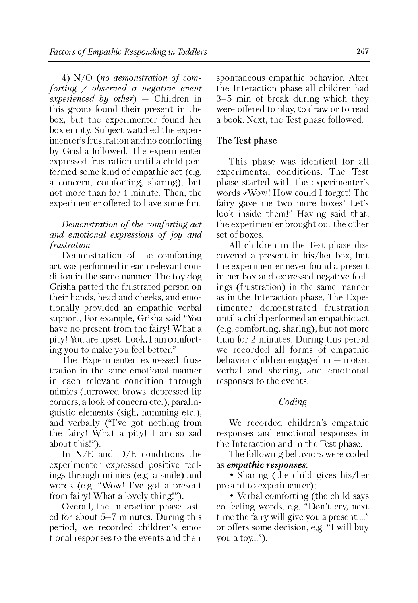4) N/O *(no demonstration of comforting / observed a negative event experienced by other)* — Children in this group found their present in the box, but the experimenter found her box empty. Subject watched the experimenter's frustration and no comforting by Grisha followed. The experimenter expressed frustration until a child performed some kind of empathic act (e.g. a concern, comforting, sharing), but not more than for 1 minute. Then, the experimenter offered to have some fun.

## *Demonstration of the comforting act and emotional expressions of joy and frustration.*

Demonstration of the comforting act was performed in each relevant condition in the same manner. The toy dog Grisha patted the frustrated person on their hands, head and cheeks, and emotionally provided an empathic verbal support. For example, Grisha said "You have no present from the fairy! What a pity! You are upset. Look, I am comforting you to make you feel better."

The Experimenter expressed frustration in the same emotional manner in each relevant condition through mimics (furrowed brows, depressed lip corners, a look of concern etc.), paralinguistic elements (sigh, humming etc.), and verbally ("I've got nothing from the fairy! What a pity! I am so sad about this!").

In N/E and D/E conditions the experimenter expressed positive feelings through mimics (e.g. a smile) and words (e.g. "Wow! I've got a present from fairy! What a lovely thing!").

Overall, the Interaction phase lasted for about 5-7 minutes. During this period, we recorded children's emotional responses to the events and their spontaneous empathic behavior. After the Interaction phase all children had 3-5 min of break during which they were offered to play, to draw or to read a book. Next, the Test phase followed.

### **The Test phase**

This phase was identical for all experimental conditions. The Test phase started with the experimenter's words «Wow! How could I forget! The fairy gave me two more boxes! Let's look inside them!" Having said that, the experimenter brought out the other set of boxes.

All children in the Test phase discovered a present in his/her box, but the experimenter never found a present in her box and expressed negative feelings (frustration) in the same manner as in the Interaction phase. The Experimenter demonstrated frustration until a child performed an empathic act (e.g. comforting, sharing), but not more than for 2 minutes. During this period we recorded all forms of empathic behavior children engaged in — motor, verbal and sharing, and emotional responses to the events.

### *Coding*

We recorded children's empathic responses and emotional responses in the Interaction and in the Test phase.

The following behaviors were coded as *empathic responses:*

• Sharing (the child gives his/her present to experimenter);

• Verbal comforting (the child says co-feeling words, e.g. "Don't cry, next time the fairy will give you a present...." or offers some decision, e.g. "I will buy you a toy...").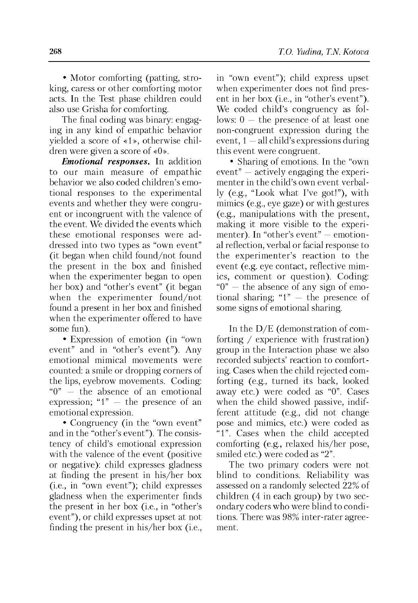• Motor comforting (patting, stroking, caress or other comforting motor acts. In the Test phase children could also use Grisha for comforting.

The final coding was binary: engaging in any kind of empathic behavior yielded a score of «1», otherwise children were given a score of «0».

*Emotional responses.* In addition to our main measure of empathic behavior we also coded children's emotional responses to the experimental events and whether they were congruent or incongruent with the valence of the event. We divided the events which these emotional responses were addressed into two types as "own event" (it began when child found/not found the present in the box and finished when the experimenter began to open her box) and "other's event" (it began when the experimenter found/not found a present in her box and finished when the experimenter offered to have some fun).

• Expression of emotion (in "own event" and in "other's event"). Any emotional mimical movements were counted: a smile or dropping corners of the lips, eyebrow movements. Coding: "0" — the absence of an emotional expression; " $1" -$  the presence of an emotional expression.

• Congruency (in the "own event" and in the "other's event"). The consistency of child's emotional expression with the valence of the event (positive or negative): child expresses gladness at finding the present in his/her box (i.e., in "own event"); child expresses gladness when the experimenter finds the present in her box (i.e., in "other's event"), or child expresses upset at not finding the present in his/her box (i.e.,

in "own event"); child express upset when experimenter does not find present in her box (i.e., in "other's event"). We coded child's congruency as follows:  $0 -$  the presence of at least one non-congruent expression during the event,  $1 -$ all child's expressions during this event were congruent.

• Sharing of emotions. In the "own event" — actively engaging the experimenter in the child's own event verbally (e.g., "Look what I've got!"), with mimics (e.g., eye gaze) or with gestures (e.g., manipulations with the present, making it more visible to the experimenter). In "other's event" — emotional reflection, verbal or facial response to the experimenter's reaction to the event (e.g. eye contact, reflective mimics, comment or question). Coding: " $0"$  — the absence of any sign of emotional sharing; " $1" -$  the presence of some signs of emotional sharing.

In the D/E (demonstration of comforting / experience with frustration) group in the Interaction phase we also recorded subjects' reaction to comforting. Cases when the child rejected comforting (e.g., turned its back, looked away etc.) were coded as "0". Cases when the child showed passive, indifferent attitude (e.g., did not change pose and mimics, etc.) were coded as "1". Cases when the child accepted comforting (e.g., relaxed his/her pose, smiled etc.) were coded as "2".

The two primary coders were not blind to conditions. Reliability was assessed on a randomly selected 22% of children (4 in each group) by two secondary coders who were blind to conditions. There was 98% inter-rater agreement.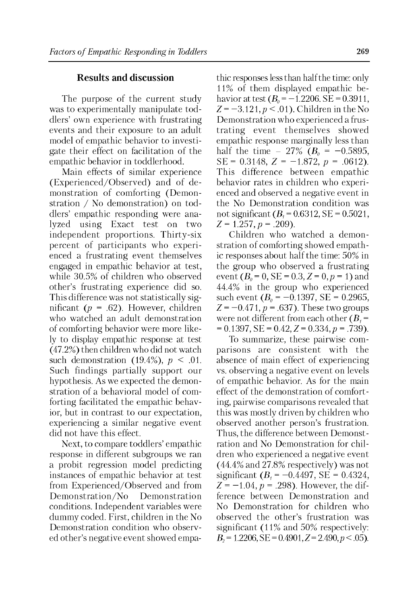# **Results and discussion**

The purpose of the current study was to experimentally manipulate toddlers' own experience with frustrating events and their exposure to an adult model of empathic behavior to investigate their effect on facilitation of the empathic behavior in toddlerhood.

Main effects of similar experience (Experienced/Observed) and of demonstration of comforting (Demonstration / No demonstration) on toddlers' empathic responding were analyzed using Exact test on two independent proportions. Thirty-six percent of participants who experienced a frustrating event themselves engaged in empathic behavior at test, while 30.5% of children who observed other's frustrating experience did so. This difference was not statistically significant *(p* = .62). However, children who watched an adult demonstration of comforting behavior were more likely to display empathic response at test (47.2%) then children who did not watch such demonstration (19.4%),  $p < .01$ . Such findings partially support our hypothesis. As we expected the demonstration of a behavioral model of comforting facilitated the empathic behavior, but in contrast to our expectation, experiencing a similar negative event did not have this effect.

Next, to compare toddlers' empathic response in different subgroups we ran a probit regression model predicting instances of empathic behavior at test from Experienced/Observed and from Demonstration/No Demonstration conditions. Independent variables were dummy coded. First, children in the No Demonstration condition who observed other's negative event showed empathic responses less than half the time: only 11% of them displayed empathic behavior at test  $(B_0 = -1.2206$ . SE = 0.3911,  $Z = -3.121, p < .01$ . Children in the No Demonstration who experienced a frustrating event themselves showed empathic response marginally less than half the time  $-27\%$  ( $B_0 = -0.5895$ , SE =  $0.3148$ ,  $Z = -1.872$ ,  $p = .0612$ ). This difference between empathic behavior rates in children who experienced and observed a negative event in the No Demonstration condition was not significant  $(B_1 = 0.6312, SE = 0.5021,$  $Z = 1.257, p = .209$ .

Children who watched a demonstration of comforting showed empathic responses about half the time: 50% in the group who observed a frustrating event  $(B_0 = 0, \text{SE} = 0.3, Z = 0, p = 1)$  and 44.4% in the group who experienced such event  $(B_0 = -0.1397, SE = 0.2965,$  $Z = -0.471$ ,  $p = .637$ ). These two groups were not different from each other  $(B_4 =$  $= 0.1397$ , SE  $= 0.42$ ,  $Z = 0.334$ ,  $p = .739$ ).

To summarize, these pairwise comparisons are consistent with the absence of main effect of experiencing vs. observing a negative event on levels of empathic behavior. As for the main effect of the demonstration of comforting, pairwise comparisons revealed that this was mostly driven by children who observed another person's frustration. Thus, the difference between Demonstration and No Demonstration for children who experienced a negative event (44.4% and 27.8% respectively) was not significant  $(B_1 = -0.4497, SE = 0.4324,$  $Z = -1.04$ ,  $p = .298$ ). However, the difference between Demonstration and No Demonstration for children who observed the other's frustration was significant (11% and 50% respectively:  $B_2 = 1.2206$ ,  $SE = 0.4901$ ,  $Z = 2.490$ ,  $p < .05$ ).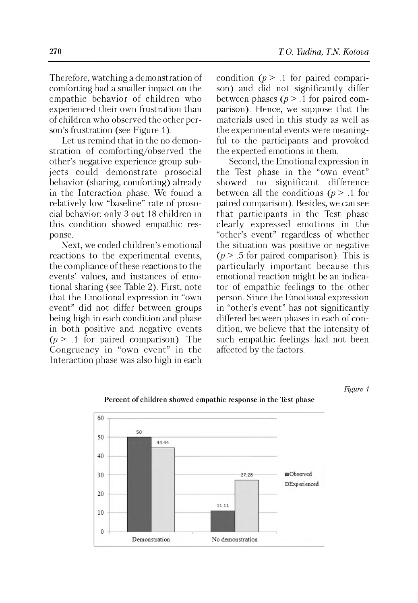Therefore, watching a demonstration of comforting had a smaller impact on the empathic behavior of children who experienced their own frustration than of children who observed the other person's frustration (see Figure 1).

Let us remind that in the no demonstration of comforting/observed the other's negative experience group subjects could demonstrate prosocial behavior (sharing, comforting) already in the Interaction phase. We found a relatively low "baseline" rate of prosocial behavior: only 3 out 18 children in this condition showed empathic response.

Next, we coded children's emotional reactions to the experimental events, the compliance of these reactions to the events' values, and instances of emotional sharing (see Table 2). First, note that the Emotional expression in "own event" did not differ between groups being high in each condition and phase in both positive and negative events  $(p > 1)$  for paired comparison). The Congruency in "own event" in the Interaction phase was also high in each condition  $(p > 1$  for paired comparison) and did not significantly differ between phases  $(p > 0.1)$  for paired comparison). Hence, we suppose that the materials used in this study as well as the experimental events were meaningful to the participants and provoked the expected emotions in them.

Second, the Emotional expression in the Test phase in the "own event" showed no significant difference between all the conditions  $(p > 0.1)$  for paired comparison). Besides, we can see that participants in the Test phase clearly expressed emotions in the "other's event" regardless of whether the situation was positive or negative  $(p > .5$  for paired comparison). This is particularly important because this emotional reaction might be an indicator of empathic feelings to the other person. Since the Emotional expression in "other's event" has not significantly differed between phases in each of condition, we believe that the intensity of such empathic feelings had not been affected by the factors.





#### Percent of children showed empathic response in the Test phase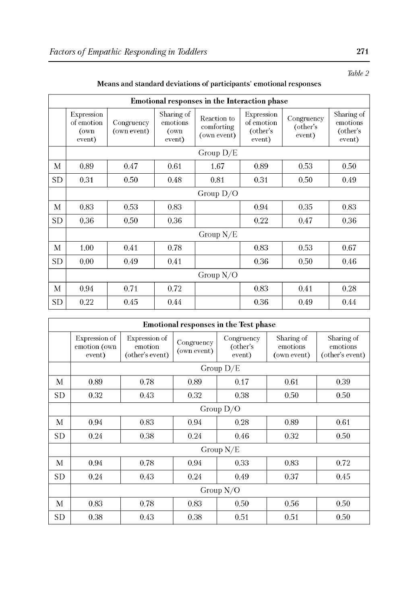| Emotional responses in the Interaction phase |                                            |                           |                                          |                                          |                                                |                                  |                                              |  |  |
|----------------------------------------------|--------------------------------------------|---------------------------|------------------------------------------|------------------------------------------|------------------------------------------------|----------------------------------|----------------------------------------------|--|--|
|                                              | Expression<br>of emotion<br>(own<br>event) | Congruency<br>(own event) | Sharing of<br>emotions<br>(own<br>event) | Reaction to<br>comforting<br>(own event) | Expression<br>of emotion<br>(other's<br>event) | Congruency<br>(other's<br>event) | Sharing of<br>emotions<br>(other's<br>event) |  |  |
|                                              | Group $D/E$                                |                           |                                          |                                          |                                                |                                  |                                              |  |  |
| М                                            | 0.89                                       | 0.47                      | 0.61                                     | 1.67                                     | 0.89                                           | 0.53                             | 0.50                                         |  |  |
| SD                                           | 0.31                                       | 0.50                      | 0.48                                     | 0.81                                     | 0.31                                           | 0.50                             | 0.49                                         |  |  |
|                                              | Group $D/O$                                |                           |                                          |                                          |                                                |                                  |                                              |  |  |
| M                                            | 0.83                                       | 0.53                      | 0.83                                     |                                          | 0.94                                           | 0.35                             | 0.83                                         |  |  |
| SD                                           | 0.36                                       | 0.50                      | 0.36                                     |                                          | 0.22                                           | 0.47                             | 0.36                                         |  |  |
|                                              | Group $N/E$                                |                           |                                          |                                          |                                                |                                  |                                              |  |  |
| M                                            | 1.00                                       | 0.41                      | 0.78                                     |                                          | 0.83                                           | 0.53                             | 0.67                                         |  |  |
| <b>SD</b>                                    | 0.00                                       | 0.49                      | 0.41                                     |                                          | 0.36                                           | 0.50                             | 0.46                                         |  |  |
|                                              | Group $N/O$                                |                           |                                          |                                          |                                                |                                  |                                              |  |  |
| M                                            | 0.94                                       | 0.71                      | 0.72                                     |                                          | 0.83                                           | 0.41                             | 0.28                                         |  |  |
| SD                                           | 0.22                                       | 0.45                      | 0.44                                     |                                          | 0.36                                           | 0.49                             | 0.44                                         |  |  |

| <b>Emotional responses in the Test phase</b> |                                         |                                             |                           |                                  |                                       |                                           |  |  |  |
|----------------------------------------------|-----------------------------------------|---------------------------------------------|---------------------------|----------------------------------|---------------------------------------|-------------------------------------------|--|--|--|
|                                              | Expression of<br>emotion (own<br>event) | Expression of<br>emotion<br>(other's event) | Congruency<br>(own event) | Congruency<br>(other's<br>event) | Sharing of<br>emotions<br>(own event) | Sharing of<br>emotions<br>(other's event) |  |  |  |
|                                              | Group $D/E$                             |                                             |                           |                                  |                                       |                                           |  |  |  |
| М                                            | 0.89                                    | 0.78                                        | 0.89                      | 0.17                             | 0.61                                  | 0.39                                      |  |  |  |
| <b>SD</b>                                    | 0.32                                    | 0.43                                        | 0.32                      | 0.38                             | 0.50                                  | 0.50                                      |  |  |  |
|                                              | Group $D/O$                             |                                             |                           |                                  |                                       |                                           |  |  |  |
| М                                            | 0.94                                    | 0.83                                        | 0.94                      | 0.28                             | 0.89                                  | 0.61                                      |  |  |  |
| <b>SD</b>                                    | 0.24                                    | 0.38                                        | 0.24                      | 0.46                             | 0.32                                  | 0.50                                      |  |  |  |
|                                              | Group $N/E$                             |                                             |                           |                                  |                                       |                                           |  |  |  |
| М                                            | 0.94                                    | 0.78                                        | 0.94                      | 0.33                             | 0.83                                  | 0.72                                      |  |  |  |
| SD                                           | 0.24                                    | 0.43                                        | 0.24                      | 0.49                             | 0.37                                  | 0.45                                      |  |  |  |
|                                              | Group $N/O$                             |                                             |                           |                                  |                                       |                                           |  |  |  |
| M                                            | 0.83                                    | 0.78                                        | 0.83                      | 0.50                             | 0.56                                  | 0.50                                      |  |  |  |
| SD                                           | 0.38                                    | 0.43                                        | 0.38                      | 0.51                             | 0.51                                  | 0.50                                      |  |  |  |

*Table 2*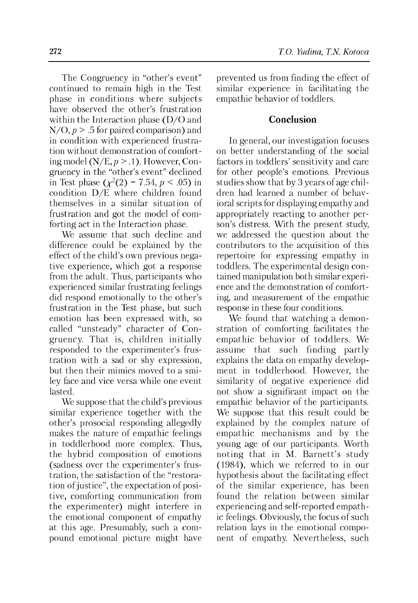The Congruency in "other's event" continued to remain high in the Test phase in conditions where subjects have observed the other's frustration within the Interaction phase (D/O and  $N/O$ ,  $p > .5$  for paired comparison) and in condition with experienced frustration without demonstration of comforting model  $(N/E, p > .1)$ . However, Congruency in the "other's event" declined in Test phase  $(\chi^2(2) = 7.54, p < .05)$  in condition D/E where children found themselves in a similar situation of frustration and got the model of comforting act in the Interaction phase.

We assume that such decline and difference could be explained by the effect of the child's own previous negative experience, which got a response from the adult. Thus, participants who experienced similar frustrating feelings did respond emotionally to the other's frustration in the Test phase, but such emotion has been expressed with, so called "unsteady" character of Congruency. That is, children initially responded to the experimenter's frustration with a sad or shy expression, but then their mimics moved to a smiley face and vice versa while one event lasted.

We suppose that the child's previous similar experience together with the other's prosocial responding allegedly makes the nature of empathic feelings in toddlerhood more complex. Thus, the hybrid composition of emotions (sadness over the experimenter's frustration, the satisfaction of the "restoration of justice", the expectation of positive, comforting communication from the experimenter) might interfere in the emotional component of empathy at this age. Presumably, such a compound emotional picture might have

**272** *T.O. Yudina, T.N. Kotova*

prevented us from finding the effect of similar experience in facilitating the empathic behavior of toddlers.

## **Conclusion**

In general, our investigation focuses on better understanding of the social factors in toddlers' sensitivity and care for other people's emotions. Previous studies show that by 3 years of age children had learned a number of behavioral scripts for displaying empathy and appropriately reacting to another person's distress. With the present study, we addressed the question about the contributors to the acquisition of this repertoire for expressing empathy in toddlers. The experimental design contained manipulation both similar experience and the demonstration of comforting, and measurement of the empathic response in these four conditions.

We found that watching a demonstration of comforting facilitates the empathic behavior of toddlers. We assume that such finding partly explains the data on empathy development in toddlerhood. However, the similarity of negative experience did not show a significant impact on the empathic behavior of the participants. We suppose that this result could be explained by the complex nature of empathic mechanisms and by the young age of our participants. Worth noting that in M. Barnett's study (1984), which we referred to in our hypothesis about the facilitating effect of the similar experience, has been found the relation between similar experiencing and self-reported empathic feelings. Obviously, the focus of such relation lays in the emotional component of empathy. Nevertheless, such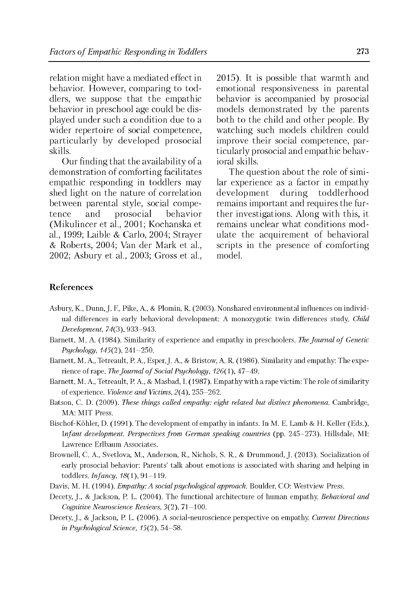relation might have a mediated effect in behavior. However, comparing to toddlers, we suppose that the empathic behavior in preschool age could be displayed under such a condition due to a wider repertoire of social competence, particularly by developed prosocial skills.

Our finding that the availability of a demonstration of comforting facilitates empathic responding in toddlers may shed light on the nature of correlation between parental style, social competence and prosocial behavior (Mikulincer et al., 2001; Kochanska et al., 1999; Laible & Carlo, 2004; Strayer & Roberts, 2004; Van der Mark et al., 2002; Asbury et al., 2003; Gross et al.,

2015). It is possible that warmth and emotional responsiveness in parental behavior is accompanied by prosocial models demonstrated by the parents both to the child and other people. By watching such models children could improve their social competence, particularly prosocial and empathic behavioral skills.

The question about the role of similar experience as a factor in empathy development during toddlerhood remains important and requires the further investigations. Along with this, it remains unclear what conditions modulate the acquirement of behavioral scripts in the presence of comforting model.

## **References**

- Asbury, K., Dunn, J. F., Pike, A., & Plomin, R. (2003). Nonshared environmental influences on individual differences in early behavioral development: A monozygotic twin differences study. *Child Development,* 74(3), 933-943.
- Barnett, M. A. (1984). Similarity of experience and empathy in preschoolers. *The Journal of Genetic Psychology, 145(2),* 241-250.
- Barnett, M. A., Tetreault, P. A., Esper, J. A., & Bristow, A. R. (1986). Similarity and empathy: The experience of rape. *The Journal of Social Psychology*,  $126(1)$ ,  $47-49$ .
- Barnett, M. A., Tetreault, P. A., & Masbad, I. (1987). Empathy with a rape victim: The role of similarity of experience. *Violence and Victims,* 2(4), 255-262.
- Batson, C. D. (2009). *These things called empathy: eight related but distinct phenomena.* Cambridge, MA: MIT Press.
- Bischof-Kohler, D. (1991). The development of empathy in infants. In M. E. Lamb & H. Keller (Eds.), *Infant development. Perspectives from German speaking countries* (pp. 245-273). Hillsdale, MI: Lawrence Erlbaum Associates.
- Brownell, C. A., Svetlova, M., Anderson, R., Nichols, S. R., & Drummond, J. (2013). Socialization of early prosocial behavior: Parents' talk about emotions is associated with sharing and helping in toddlers. *Infancy,* 18(1), 91-119.
- Davis, M. H. (1994). *Empathy: A social psychological approach.* Boulder, CO: Westview Press.
- Decety, J., & Jackson, P. L. (2004). The functional architecture of human empathy. *Behavioral and Cognitive Neuroscience Reviews,* 3(2), 71-100.
- Decety, J., & Jackson, P. L. (2006). A social-neuroscience perspective on empathy *Current Directions in Psychological Science,* 15(2), 54-58.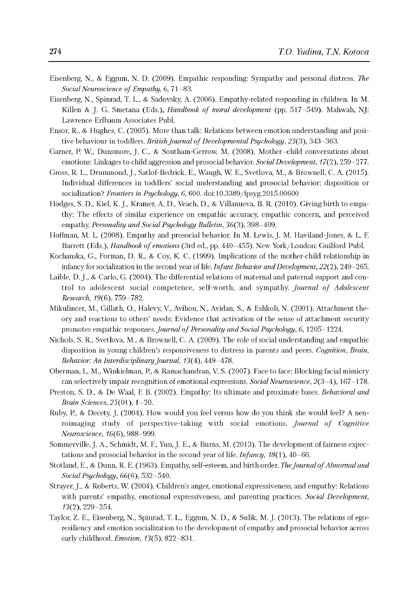- Eisenberg, N., & Eggum, N. D. (2009). Empathic responding: Sympathy and personal distress. *The Social Neuroscience of Empathy, 6, 71–83.*
- Eisenberg, N., Spinrad, T. L., & Sadovsky, A. (2006). Empathy-related responding in children. In M. Killen & J. G. Smetana (Eds.), *Handbook of moral development* (pp. 517–549). Mahwah, NJ: Lawrence Erlbaum Associates Publ.
- Ensor, R., & Hughes, C. (2005). More than talk: Relations between emotion understanding and positive behaviour in toddlers. *British Journal of Developmental Psychology, 23(3), 343–363.*
- Garner, P. W., Dunsmore, J. C., & Southam-Gerrow, M. (2008). Mother-child conversations about emotions: Linkages to child aggression and prosocial behavior. *Social Development, 1*7(2), 259-277.
- Gross, R. L., Drummond, J., Satlof-Bedrick, E., Waugh, W. E., Svetlova, M., & Brownell, C. A. (2015). Individual differences in toddlers' social understanding and prosocial behavior: disposition or socialization? *Frontiers in Psychology, 6,* 600. doi:10.3389/fpsyg.2015.00600
- Hodges, S. D., Kiel, K. J., Kramer, A. D., Veach, D., & Villanueva, B. R. (2010). Giving birth to empathy: The effects of similar experience on empathic accuracy, empathic concern, and perceived empathy. *Personality and Social Psychology Bulletin*, *36*(3), 398-409.
- Hoffman, M. L. (2008). Empathy and prosocial behavior. In M. Lewis, J. M. Haviland-Jones, & L. F. Barrett (Eds.), *Handbook of emotions* (3rd ed., pp. 440-455). New York/London: Guilford Publ.
- Kochanska, G., Forman, D. R., & Coy, K. C. (1999). Implications of the mother-child relationship in infancy for socialization in the second year of life. *Infant Behavior and Development,* 22(2), 249-265.
- Laible, D. J., & Carlo, G. (2004). The differential relations of maternal and paternal support and control to adolescent social competence, self-worth, and sympathy. *Journal of Adolescent Research,* 19(6), 759-782.
- Mikulincer, M., Gillath, O., Halevy, V., Avihou, N., Avidan, S., & Eshkoli, N. (2001). Attachment theory and reactions to others' needs: Evidence that activation of the sense of attachment security promotes empathic responses. *Journal of Personality and Social Psychology*, 6, 1205-1224.
- Nichols, S. R., Svetlova, M., & Brownell, C. A. (2009). The role of social understanding and empathic disposition in young children's responsiveness to distress in parents and peers. *Cognition, Brain, Behavior: An Interdisciplinary Journal,* 13(4), 449-478.
- Oberman, L. M., Winkielman, P., & Ramachandran, V. S. (2007). Face to face: Blocking facial mimicry can selectively impair recognition of emotional expressions. *Social Neuroscience,* 2(3-4), 167-178.
- Preston, S. D., & De Waal, F. B. (2002). Empathy: Its ultimate and proximate bases. *Behavioral and Brain Sciences,* 25(01), 1-20.
- Ruby, P., & Decety, J. (2004). How would you feel versus how do you think she would feel? A neuroimaging study of perspective-taking with social emotions. *Journal of Cognitive Neuroscience*, *16*(6), 988-999.
- Sommerville, J. A., Schmidt, M. F., Yun, J. E., & Burns, M. (2013). The development of fairness expectations and prosocial behavior in the second year of life. *Infancy,* 18(1), 40-66.
- Stotland, E., & Dunn, R. E. (1963). Empathy, self-esteem, and birth order. *The Journal of Abnormal and Social Psychology,* 66(6), 532-540.
- Strayer, J., & Roberts, W. (2004). Children's anger, emotional expressiveness, and empathy: Relations with parents' empathy, emotional expressiveness, and parenting practices. *Social Development*, *13*(2), 229-254.
- Taylor, Z. E., Eisenberg, N., Spinrad, T. L., Eggum, N. D., & Sulik, M. J. (2013). The relations of egoresiliency and emotion socialization to the development of empathy and prosocial behavior across early childhood. *Emotion,* 13(5), 822-831.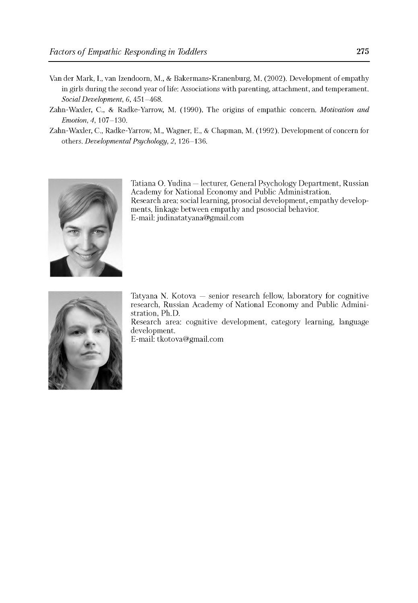- Van der Mark, I., van Izendoom, M., & Bakermans-Kranenburg, M. (2002). Development of empathy in girls during the second year of life: Associations with parenting, attachment, and temperament. *Social Development, 6,* 451-468.
- Zahn-Waxler, C., & Radke-Yarrow, M. (1990). The origins of empathic concern. *Motivation and Emotion, 4,* 107-130.
- Zahn-Waxler, C., Radke-Yarrow, M., Wagner, E., & Chapman, M. (1992). Development of concern for others. *Developmental Psychology, 2,* 126-136.



Tatiana O. Yudina — lecturer, General Psychology Department, Russian Academy for National Economy and Public Administration. Research area: social learning, prosocial development, empathy developments, linkage between empathy and psosocial behavior. E-mail: [judinatatyana@gmail.com](mailto:judinatatyana@gmail.com)



Tatyana N. Kotova — senior research fellow, laboratory for cognitive research, Russian Academy of National Economy and Public Administration, Ph.D.

Research area: cognitive development, category learning, language development.

E-mail: [tkotova@gmail.com](mailto:tkotova@gmail.com)